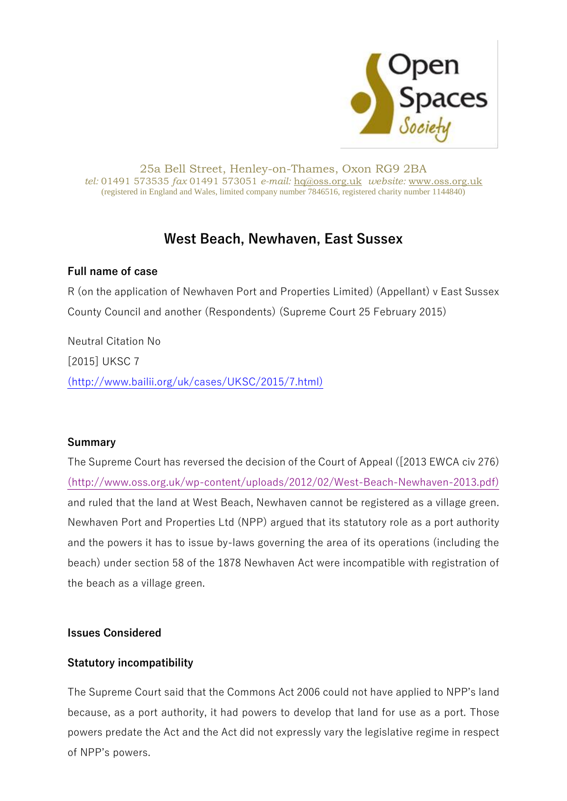

#### 25a Bell Street, Henley-on-Thames, Oxon RG9 2BA *tel:* 01491 573535 *fax* 01491 573051 *e-mail:* [hq@oss.org.uk](mailto:hq@oss.org.uk) *website:* [www.oss.org.uk](http://www.oss.org.uk/) (registered in England and Wales, limited company number 7846516, registered charity number 1144840)

# **West Beach, Newhaven, East Sussex**

### **Full name of case**

R (on the application of Newhaven Port and Properties Limited) (Appellant) v East Sussex County Council and another (Respondents) (Supreme Court 25 February 2015)

Neutral Citation No [2015] UKSC 7 [\(http://www.bailii.org/uk/cases/UKSC/2015/7.html\)](http://www.bailii.org/uk/cases/UKSC/2015/7.html)

#### **Summary**

The Supreme Court has reversed the decision of the Court of Appeal ([2013 EWCA civ 276) [\(http://www.oss.org.uk/wp-content/uploads/2012/02/West-Beach-Newhaven-2013.pdf\)](http://www.oss.org.uk/wp-content/uploads/2012/02/West-Beach-Newhaven-2013.pdf) and ruled that the land at West Beach, Newhaven cannot be registered as a village green. Newhaven Port and Properties Ltd (NPP) argued that its statutory role as a port authority and the powers it has to issue by-laws governing the area of its operations (including the beach) under section 58 of the 1878 Newhaven Act were incompatible with registration of the beach as a village green.

## **Issues Considered**

## **Statutory incompatibility**

The Supreme Court said that the Commons Act 2006 could not have applied to NPP's land because, as a port authority, it had powers to develop that land for use as a port. Those powers predate the Act and the Act did not expressly vary the legislative regime in respect of NPP's powers.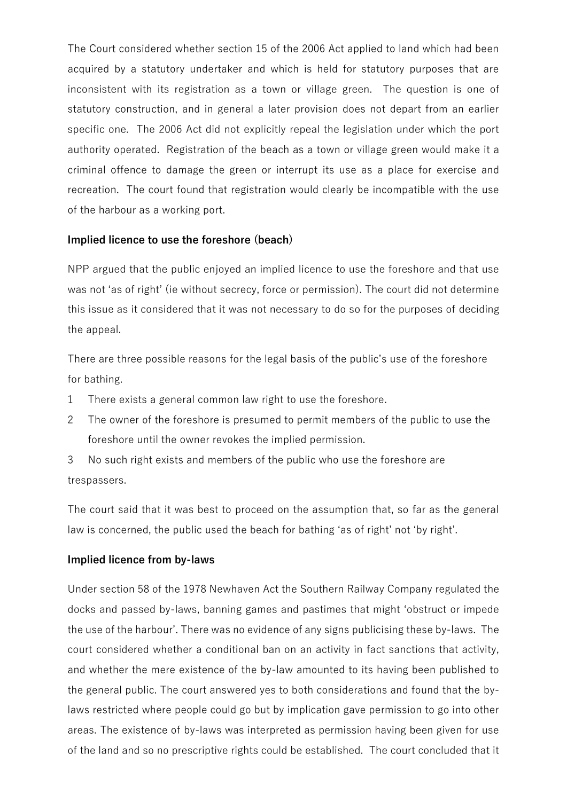The Court considered whether section 15 of the 2006 Act applied to land which had been acquired by a statutory undertaker and which is held for statutory purposes that are inconsistent with its registration as a town or village green. The question is one of statutory construction, and in general a later provision does not depart from an earlier specific one. The 2006 Act did not explicitly repeal the legislation under which the port authority operated. Registration of the beach as a town or village green would make it a criminal offence to damage the green or interrupt its use as a place for exercise and recreation. The court found that registration would clearly be incompatible with the use of the harbour as a working port.

#### **Implied licence to use the foreshore (beach)**

NPP argued that the public enjoyed an implied licence to use the foreshore and that use was not 'as of right' (ie without secrecy, force or permission). The court did not determine this issue as it considered that it was not necessary to do so for the purposes of deciding the appeal.

There are three possible reasons for the legal basis of the public's use of the foreshore for bathing.

- 1 There exists a general common law right to use the foreshore.
- 2 The owner of the foreshore is presumed to permit members of the public to use the foreshore until the owner revokes the implied permission.
- 3 No such right exists and members of the public who use the foreshore are trespassers.

The court said that it was best to proceed on the assumption that, so far as the general law is concerned, the public used the beach for bathing 'as of right' not 'by right'.

#### **Implied licence from by-laws**

Under section 58 of the 1978 Newhaven Act the Southern Railway Company regulated the docks and passed by-laws, banning games and pastimes that might 'obstruct or impede the use of the harbour'. There was no evidence of any signs publicising these by-laws. The court considered whether a conditional ban on an activity in fact sanctions that activity, and whether the mere existence of the by-law amounted to its having been published to the general public. The court answered yes to both considerations and found that the bylaws restricted where people could go but by implication gave permission to go into other areas. The existence of by-laws was interpreted as permission having been given for use of the land and so no prescriptive rights could be established. The court concluded that it